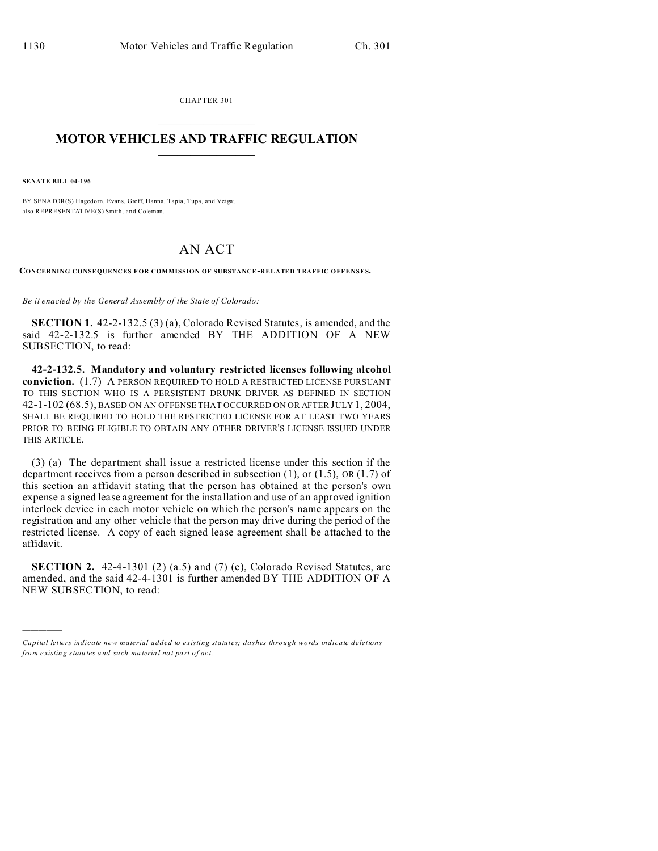CHAPTER 301  $\overline{\phantom{a}}$  , where  $\overline{\phantom{a}}$ 

## **MOTOR VEHICLES AND TRAFFIC REGULATION**  $\frac{1}{2}$  ,  $\frac{1}{2}$  ,  $\frac{1}{2}$  ,  $\frac{1}{2}$  ,  $\frac{1}{2}$  ,  $\frac{1}{2}$  ,  $\frac{1}{2}$

**SENATE BILL 04-196**

)))))

BY SENATOR(S) Hagedorn, Evans, Groff, Hanna, Tapia, Tupa, and Veiga; also REPRESENTATIVE(S) Smith, and Coleman.

## AN ACT

**CONCERNING CONSEQUENCES F OR COMMISSION OF SUBSTANCE-RELATED TRAFFIC OFFENSES.**

*Be it enacted by the General Assembly of the State of Colorado:*

**SECTION 1.** 42-2-132.5 (3) (a), Colorado Revised Statutes, is amended, and the said 42-2-132.5 is further amended BY THE ADDITION OF A NEW SUBSECTION, to read:

**42-2-132.5. Mandatory and voluntary restricted licenses following alcohol conviction.** (1.7) A PERSON REQUIRED TO HOLD A RESTRICTED LICENSE PURSUANT TO THIS SECTION WHO IS A PERSISTENT DRUNK DRIVER AS DEFINED IN SECTION 42-1-102 (68.5), BASED ON AN OFFENSE THAT OCCURRED ON OR AFTER JULY 1, 2004, SHALL BE REQUIRED TO HOLD THE RESTRICTED LICENSE FOR AT LEAST TWO YEARS PRIOR TO BEING ELIGIBLE TO OBTAIN ANY OTHER DRIVER'S LICENSE ISSUED UNDER THIS ARTICLE.

(3) (a) The department shall issue a restricted license under this section if the department receives from a person described in subsection (1),  $\sigma$ r (1.5), OR (1.7) of this section an affidavit stating that the person has obtained at the person's own expense a signed lease agreement for the installation and use of an approved ignition interlock device in each motor vehicle on which the person's name appears on the registration and any other vehicle that the person may drive during the period of the restricted license. A copy of each signed lease agreement shall be attached to the affidavit.

**SECTION 2.** 42-4-1301 (2) (a.5) and (7) (e), Colorado Revised Statutes, are amended, and the said 42-4-1301 is further amended BY THE ADDITION OF A NEW SUBSECTION, to read:

*Capital letters indicate new material added to existing statutes; dashes through words indicate deletions from e xistin g statu tes a nd such ma teria l no t pa rt of ac t.*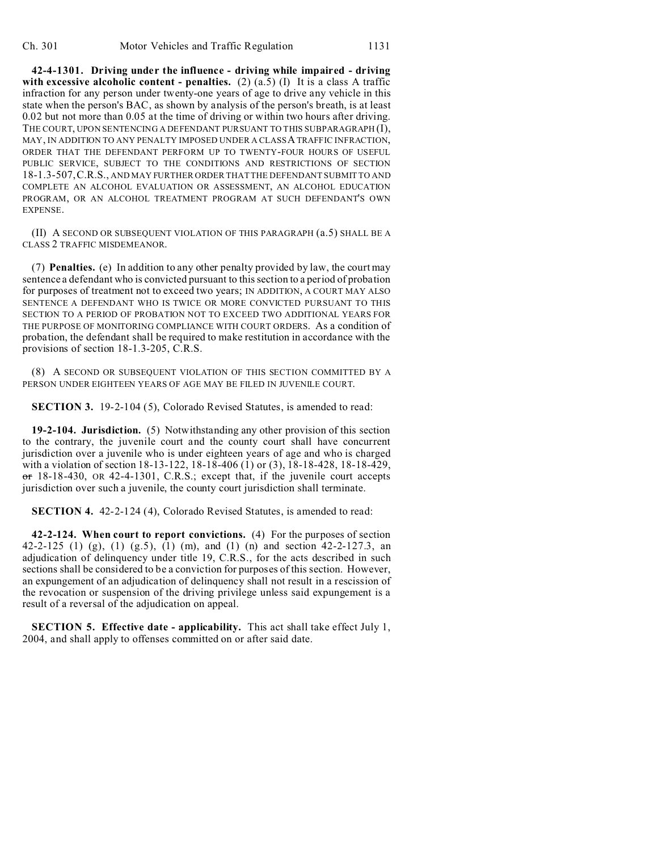**42-4-1301. Driving under the influence - driving while impaired - driving with excessive alcoholic content - penalties.** (2) (a.5) (I) It is a class A traffic infraction for any person under twenty-one years of age to drive any vehicle in this state when the person's BAC, as shown by analysis of the person's breath, is at least 0.02 but not more than 0.05 at the time of driving or within two hours after driving. THE COURT, UPON SENTENCING A DEFENDANT PURSUANT TO THIS SUBPARAGRAPH (I), MAY, IN ADDITION TO ANY PENALTY IMPOSED UNDER A CLASSA TRAFFIC INFRACTION, ORDER THAT THE DEFENDANT PERFORM UP TO TWENTY-FOUR HOURS OF USEFUL PUBLIC SERVICE, SUBJECT TO THE CONDITIONS AND RESTRICTIONS OF SECTION 18-1.3-507,C.R.S., AND MAY FURTHER ORDER THAT THE DEFENDANT SUBMIT TO AND COMPLETE AN ALCOHOL EVALUATION OR ASSESSMENT, AN ALCOHOL EDUCATION PROGRAM, OR AN ALCOHOL TREATMENT PROGRAM AT SUCH DEFENDANT'S OWN EXPENSE.

(II) A SECOND OR SUBSEQUENT VIOLATION OF THIS PARAGRAPH (a.5) SHALL BE A CLASS 2 TRAFFIC MISDEMEANOR.

(7) **Penalties.** (e) In addition to any other penalty provided by law, the court may sentence a defendant who is convicted pursuant to this section to a period of probation for purposes of treatment not to exceed two years; IN ADDITION, A COURT MAY ALSO SENTENCE A DEFENDANT WHO IS TWICE OR MORE CONVICTED PURSUANT TO THIS SECTION TO A PERIOD OF PROBATION NOT TO EXCEED TWO ADDITIONAL YEARS FOR THE PURPOSE OF MONITORING COMPLIANCE WITH COURT ORDERS. As a condition of probation, the defendant shall be required to make restitution in accordance with the provisions of section 18-1.3-205, C.R.S.

(8) A SECOND OR SUBSEQUENT VIOLATION OF THIS SECTION COMMITTED BY A PERSON UNDER EIGHTEEN YEARS OF AGE MAY BE FILED IN JUVENILE COURT.

**SECTION 3.** 19-2-104 (5), Colorado Revised Statutes, is amended to read:

**19-2-104. Jurisdiction.** (5) Notwithstanding any other provision of this section to the contrary, the juvenile court and the county court shall have concurrent jurisdiction over a juvenile who is under eighteen years of age and who is charged with a violation of section 18-13-122, 18-18-406 (1) or (3), 18-18-428, 18-18-429,  $\sigma$ r 18-18-430, OR 42-4-1301, C.R.S.; except that, if the juvenile court accepts jurisdiction over such a juvenile, the county court jurisdiction shall terminate.

**SECTION 4.** 42-2-124 (4), Colorado Revised Statutes, is amended to read:

**42-2-124. When court to report convictions.** (4) For the purposes of section 42-2-125 (1) (g), (1) (g, 5), (1) (m), and (1) (n) and section 42-2-127.3, an adjudication of delinquency under title 19, C.R.S., for the acts described in such sections shall be considered to be a conviction for purposes of this section. However, an expungement of an adjudication of delinquency shall not result in a rescission of the revocation or suspension of the driving privilege unless said expungement is a result of a reversal of the adjudication on appeal.

**SECTION 5. Effective date - applicability.** This act shall take effect July 1, 2004, and shall apply to offenses committed on or after said date.